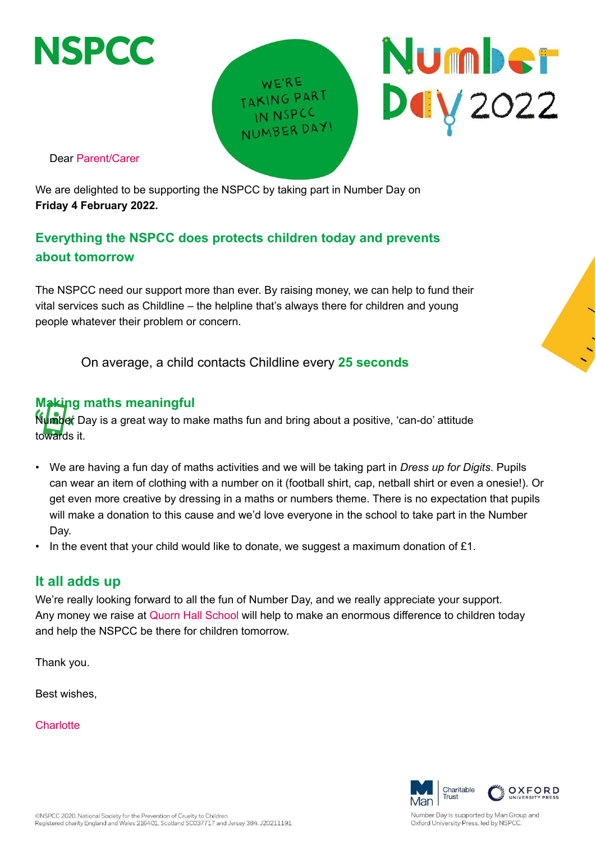

WE'RE TAKING PART IN NSPCC NUMBER DAY

Dear Parent/Carer

We are delighted to be supporting the NSPCC by taking part in Number Day on **Friday 4 February 2022.**

## **Everything the NSPCC does protects children today and prevents about tomorrow**

The NSPCC need our support more than ever. By raising money, we can help to fund their vital services such as Childline – the helpline that's always there for children and young people whatever their problem or concern.

On average, a child contacts Childline every **25 seconds**

## **Making maths meaningful**

**Ńumbet** Day is a great way to make maths fun and bring about a positive, 'can-do' attitude towards it.

- We are having a fun day of maths activities and we will be taking part in *Dress up for Digits*. Pupils can wear an item of clothing with a number on it (football shirt, cap, netball shirt or even a onesie!). Or get even more creative by dressing in a maths or numbers theme. There is no expectation that pupils will make a donation to this cause and we'd love everyone in the school to take part in the Number Day.
- In the event that your child would like to donate, we suggest a maximum donation of  $£1$ .

## **It all adds up**

We're really looking forward to all the fun of Number Day, and we really appreciate your support. Any money we raise at Quorn Hall School will help to make an enormous difference to children today and help the NSPCC be there for children tomorrow.

Thank you.

Best wishes,

**Charlotte** 



Number Day is supported by Man Group and Oxford University Press, led by NSPCC

**Number** 

**DUV** 2022